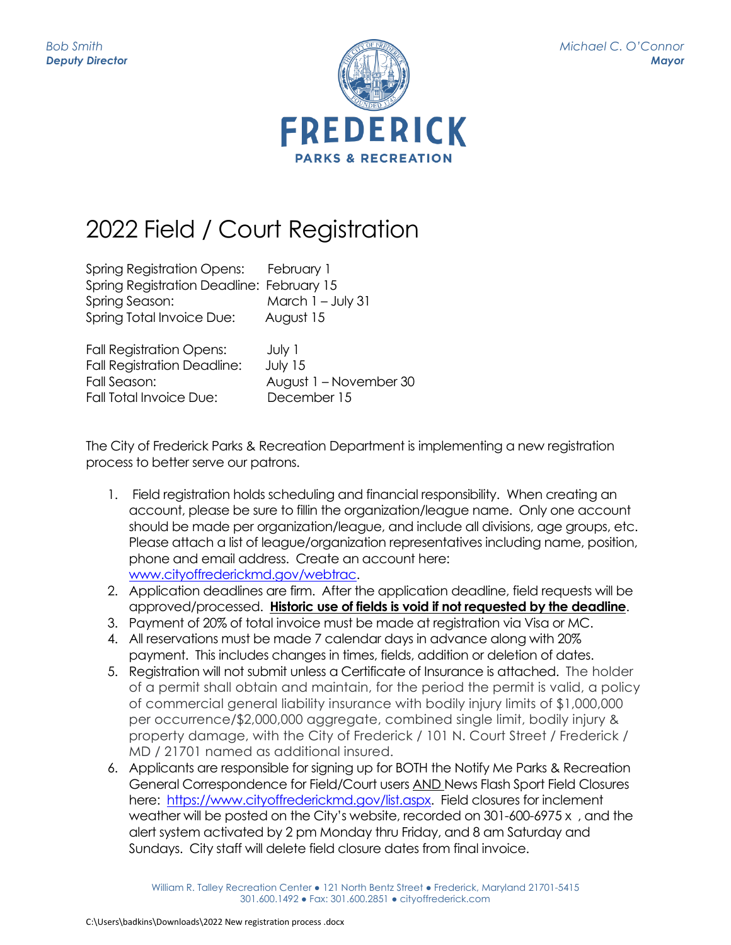

## 2022 Field / Court Registration

| Spring Registration Opens: February 1     |                        |
|-------------------------------------------|------------------------|
| Spring Registration Deadline: February 15 |                        |
| Spring Season:                            | March $1 - July 31$    |
| <b>Spring Total Invoice Due:</b>          | August 15              |
| <b>Fall Registration Opens:</b>           | July 1                 |
| <b>Fall Registration Deadline:</b>        | July 15                |
| Fall Season:                              | August 1 - November 30 |
| Fall Total Invoice Due:                   | December 15            |

The City of Frederick Parks & Recreation Department is implementing a new registration process to better serve our patrons.

- 1. Field registration holds scheduling and financial responsibility. When creating an account, please be sure to fillin the organization/league name. Only one account should be made per organization/league, and include all divisions, age groups, etc. Please attach a list of league/organization representatives including name, position, phone and email address. Create an account here: [www.cityoffrederickmd.gov/webtrac.](http://www.cityoffrederickmd.gov/webtrac)
- 2. Application deadlines are firm. After the application deadline, field requests will be approved/processed. **Historic use of fields is void if not requested by the deadline**.
- 3. Payment of 20% of total invoice must be made at registration via Visa or MC.
- 4. All reservations must be made 7 calendar days in advance along with 20% payment. This includes changes in times, fields, addition or deletion of dates.
- 5. Registration will not submit unless a Certificate of Insurance is attached. The holder of a permit shall obtain and maintain, for the period the permit is valid, a policy of commercial general liability insurance with bodily injury limits of \$1,000,000 per occurrence/\$2,000,000 aggregate, combined single limit, bodily injury & property damage, with the City of Frederick / 101 N. Court Street / Frederick / MD / 21701 named as additional insured.
- 6. Applicants are responsible for signing up for BOTH the Notify Me Parks & Recreation General Correspondence for Field/Court users AND News Flash Sport Field Closures here: [https://www.cityoffrederickmd.gov/list.aspx.](https://www.cityoffrederickmd.gov/list.aspx) Field closures for inclement weather will be posted on the City's website, recorded on 301-600-6975 x , and the alert system activated by 2 pm Monday thru Friday, and 8 am Saturday and Sundays. City staff will delete field closure dates from final invoice.